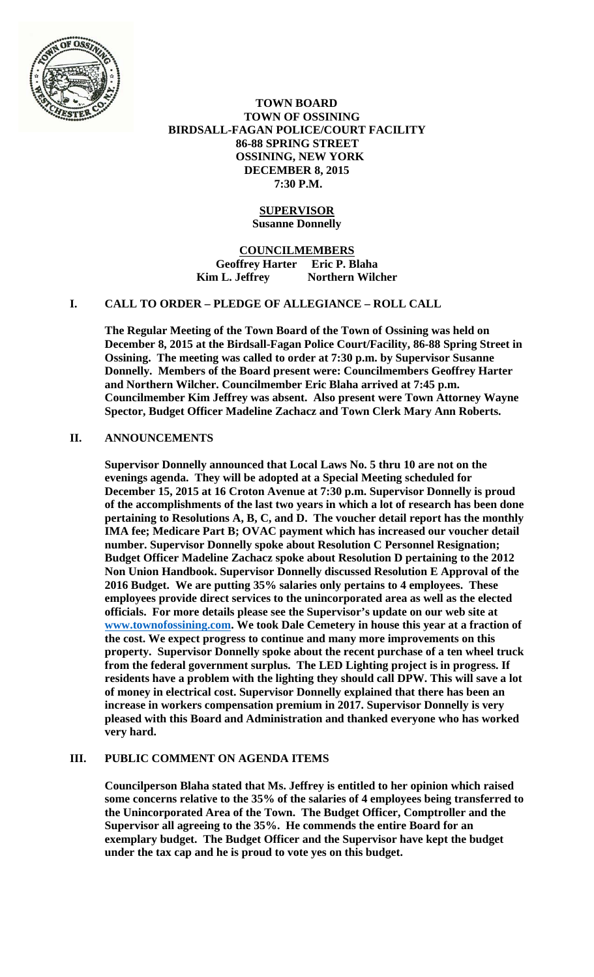

 **TOWN BOARD TOWN OF OSSINING BIRDSALL-FAGAN POLICE/COURT FACILITY 86-88 SPRING STREET OSSINING, NEW YORK DECEMBER 8, 2015 7:30 P.M.** 

## **SUPERVISOR Susanne Donnelly**

**COUNCILMEMBERS Geoffrey Harter Eric P. Blaha Kim L. Jeffrey Northern Wilcher** 

## **I. CALL TO ORDER – PLEDGE OF ALLEGIANCE – ROLL CALL**

**The Regular Meeting of the Town Board of the Town of Ossining was held on December 8, 2015 at the Birdsall-Fagan Police Court/Facility, 86-88 Spring Street in Ossining. The meeting was called to order at 7:30 p.m. by Supervisor Susanne Donnelly. Members of the Board present were: Councilmembers Geoffrey Harter and Northern Wilcher. Councilmember Eric Blaha arrived at 7:45 p.m. Councilmember Kim Jeffrey was absent. Also present were Town Attorney Wayne Spector, Budget Officer Madeline Zachacz and Town Clerk Mary Ann Roberts.** 

## **II. ANNOUNCEMENTS**

**Supervisor Donnelly announced that Local Laws No. 5 thru 10 are not on the evenings agenda. They will be adopted at a Special Meeting scheduled for December 15, 2015 at 16 Croton Avenue at 7:30 p.m. Supervisor Donnelly is proud of the accomplishments of the last two years in which a lot of research has been done pertaining to Resolutions A, B, C, and D. The voucher detail report has the monthly IMA fee; Medicare Part B; OVAC payment which has increased our voucher detail number. Supervisor Donnelly spoke about Resolution C Personnel Resignation; Budget Officer Madeline Zachacz spoke about Resolution D pertaining to the 2012 Non Union Handbook. Supervisor Donnelly discussed Resolution E Approval of the 2016 Budget. We are putting 35% salaries only pertains to 4 employees. These employees provide direct services to the unincorporated area as well as the elected officials. For more details please see the Supervisor's update on our web site at www.townofossining.com. We took Dale Cemetery in house this year at a fraction of the cost. We expect progress to continue and many more improvements on this property. Supervisor Donnelly spoke about the recent purchase of a ten wheel truck from the federal government surplus. The LED Lighting project is in progress. If residents have a problem with the lighting they should call DPW. This will save a lot of money in electrical cost. Supervisor Donnelly explained that there has been an increase in workers compensation premium in 2017. Supervisor Donnelly is very pleased with this Board and Administration and thanked everyone who has worked very hard.** 

# **III. PUBLIC COMMENT ON AGENDA ITEMS**

**Councilperson Blaha stated that Ms. Jeffrey is entitled to her opinion which raised some concerns relative to the 35% of the salaries of 4 employees being transferred to the Unincorporated Area of the Town. The Budget Officer, Comptroller and the Supervisor all agreeing to the 35%. He commends the entire Board for an exemplary budget. The Budget Officer and the Supervisor have kept the budget under the tax cap and he is proud to vote yes on this budget.**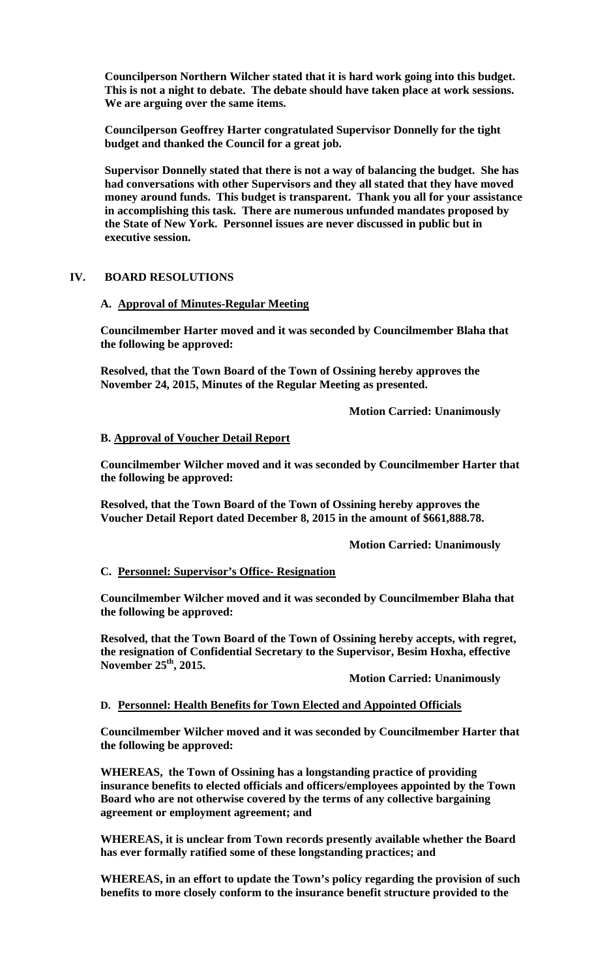**Councilperson Northern Wilcher stated that it is hard work going into this budget. This is not a night to debate. The debate should have taken place at work sessions. We are arguing over the same items.** 

**Councilperson Geoffrey Harter congratulated Supervisor Donnelly for the tight budget and thanked the Council for a great job.** 

**Supervisor Donnelly stated that there is not a way of balancing the budget. She has had conversations with other Supervisors and they all stated that they have moved money around funds. This budget is transparent. Thank you all for your assistance in accomplishing this task. There are numerous unfunded mandates proposed by the State of New York. Personnel issues are never discussed in public but in executive session.** 

#### **IV. BOARD RESOLUTIONS**

## **A. Approval of Minutes-Regular Meeting**

**Councilmember Harter moved and it was seconded by Councilmember Blaha that the following be approved:** 

**Resolved, that the Town Board of the Town of Ossining hereby approves the November 24, 2015, Minutes of the Regular Meeting as presented.** 

 **Motion Carried: Unanimously** 

## **B. Approval of Voucher Detail Report**

**Councilmember Wilcher moved and it was seconded by Councilmember Harter that the following be approved:** 

**Resolved, that the Town Board of the Town of Ossining hereby approves the Voucher Detail Report dated December 8, 2015 in the amount of \$661,888.78.** 

 **Motion Carried: Unanimously** 

# **C. Personnel: Supervisor's Office- Resignation**

**Councilmember Wilcher moved and it was seconded by Councilmember Blaha that the following be approved:** 

**Resolved, that the Town Board of the Town of Ossining hereby accepts, with regret, the resignation of Confidential Secretary to the Supervisor, Besim Hoxha, effective November 25th, 2015.** 

 **Motion Carried: Unanimously** 

#### **D. Personnel: Health Benefits for Town Elected and Appointed Officials**

**Councilmember Wilcher moved and it was seconded by Councilmember Harter that the following be approved:** 

**WHEREAS, the Town of Ossining has a longstanding practice of providing insurance benefits to elected officials and officers/employees appointed by the Town Board who are not otherwise covered by the terms of any collective bargaining agreement or employment agreement; and** 

**WHEREAS, it is unclear from Town records presently available whether the Board has ever formally ratified some of these longstanding practices; and** 

**WHEREAS, in an effort to update the Town's policy regarding the provision of such benefits to more closely conform to the insurance benefit structure provided to the**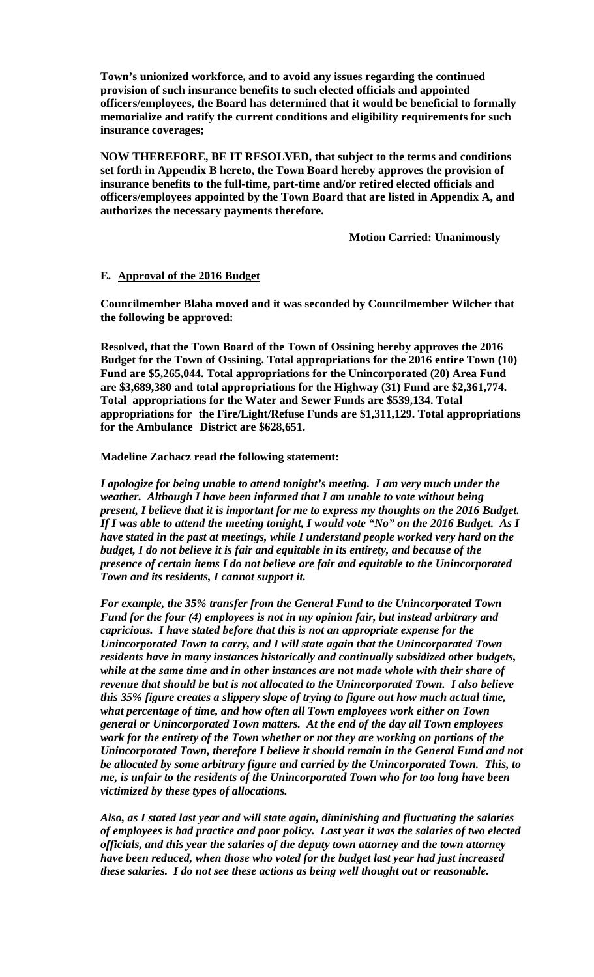**Town's unionized workforce, and to avoid any issues regarding the continued provision of such insurance benefits to such elected officials and appointed officers/employees, the Board has determined that it would be beneficial to formally memorialize and ratify the current conditions and eligibility requirements for such insurance coverages;** 

**NOW THEREFORE, BE IT RESOLVED, that subject to the terms and conditions set forth in Appendix B hereto, the Town Board hereby approves the provision of insurance benefits to the full-time, part-time and/or retired elected officials and officers/employees appointed by the Town Board that are listed in Appendix A, and authorizes the necessary payments therefore.** 

 **Motion Carried: Unanimously** 

## **E. Approval of the 2016 Budget**

**Councilmember Blaha moved and it was seconded by Councilmember Wilcher that the following be approved:** 

**Resolved, that the Town Board of the Town of Ossining hereby approves the 2016 Budget for the Town of Ossining. Total appropriations for the 2016 entire Town (10) Fund are \$5,265,044. Total appropriations for the Unincorporated (20) Area Fund are \$3,689,380 and total appropriations for the Highway (31) Fund are \$2,361,774. Total appropriations for the Water and Sewer Funds are \$539,134. Total appropriations for the Fire/Light/Refuse Funds are \$1,311,129. Total appropriations for the Ambulance District are \$628,651.** 

**Madeline Zachacz read the following statement:** 

*I apologize for being unable to attend tonight's meeting. I am very much under the weather. Although I have been informed that I am unable to vote without being present, I believe that it is important for me to express my thoughts on the 2016 Budget. If I was able to attend the meeting tonight, I would vote "No" on the 2016 Budget. As I have stated in the past at meetings, while I understand people worked very hard on the budget, I do not believe it is fair and equitable in its entirety, and because of the presence of certain items I do not believe are fair and equitable to the Unincorporated Town and its residents, I cannot support it.* 

*For example, the 35% transfer from the General Fund to the Unincorporated Town Fund for the four (4) employees is not in my opinion fair, but instead arbitrary and capricious. I have stated before that this is not an appropriate expense for the Unincorporated Town to carry, and I will state again that the Unincorporated Town residents have in many instances historically and continually subsidized other budgets, while at the same time and in other instances are not made whole with their share of revenue that should be but is not allocated to the Unincorporated Town. I also believe this 35% figure creates a slippery slope of trying to figure out how much actual time, what percentage of time, and how often all Town employees work either on Town general or Unincorporated Town matters. At the end of the day all Town employees work for the entirety of the Town whether or not they are working on portions of the Unincorporated Town, therefore I believe it should remain in the General Fund and not be allocated by some arbitrary figure and carried by the Unincorporated Town. This, to me, is unfair to the residents of the Unincorporated Town who for too long have been victimized by these types of allocations.* 

*Also, as I stated last year and will state again, diminishing and fluctuating the salaries of employees is bad practice and poor policy. Last year it was the salaries of two elected officials, and this year the salaries of the deputy town attorney and the town attorney have been reduced, when those who voted for the budget last year had just increased these salaries. I do not see these actions as being well thought out or reasonable.*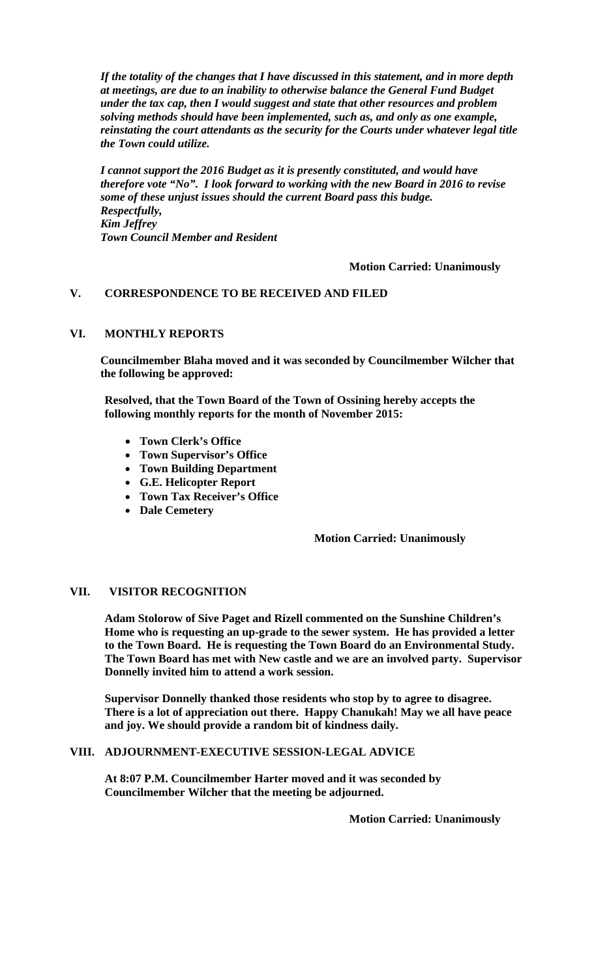*If the totality of the changes that I have discussed in this statement, and in more depth at meetings, are due to an inability to otherwise balance the General Fund Budget under the tax cap, then I would suggest and state that other resources and problem solving methods should have been implemented, such as, and only as one example, reinstating the court attendants as the security for the Courts under whatever legal title the Town could utilize.* 

*I cannot support the 2016 Budget as it is presently constituted, and would have therefore vote "No". I look forward to working with the new Board in 2016 to revise some of these unjust issues should the current Board pass this budge. Respectfully, Kim Jeffrey Town Council Member and Resident* 

## **Motion Carried: Unanimously**

## **V. CORRESPONDENCE TO BE RECEIVED AND FILED**

#### **VI. MONTHLY REPORTS**

**Councilmember Blaha moved and it was seconded by Councilmember Wilcher that the following be approved:** 

**Resolved, that the Town Board of the Town of Ossining hereby accepts the following monthly reports for the month of November 2015:** 

- **Town Clerk's Office**
- **Town Supervisor's Office**
- **Town Building Department**
- **G.E. Helicopter Report**
- **Town Tax Receiver's Office**
- **Dale Cemetery**

#### **Motion Carried: Unanimously**

## **VII. VISITOR RECOGNITION**

**Adam Stolorow of Sive Paget and Rizell commented on the Sunshine Children's Home who is requesting an up-grade to the sewer system. He has provided a letter to the Town Board. He is requesting the Town Board do an Environmental Study. The Town Board has met with New castle and we are an involved party. Supervisor Donnelly invited him to attend a work session.** 

**Supervisor Donnelly thanked those residents who stop by to agree to disagree. There is a lot of appreciation out there. Happy Chanukah! May we all have peace and joy. We should provide a random bit of kindness daily.** 

## **VIII. ADJOURNMENT-EXECUTIVE SESSION-LEGAL ADVICE**

**At 8:07 P.M. Councilmember Harter moved and it was seconded by Councilmember Wilcher that the meeting be adjourned.** 

**Motion Carried: Unanimously**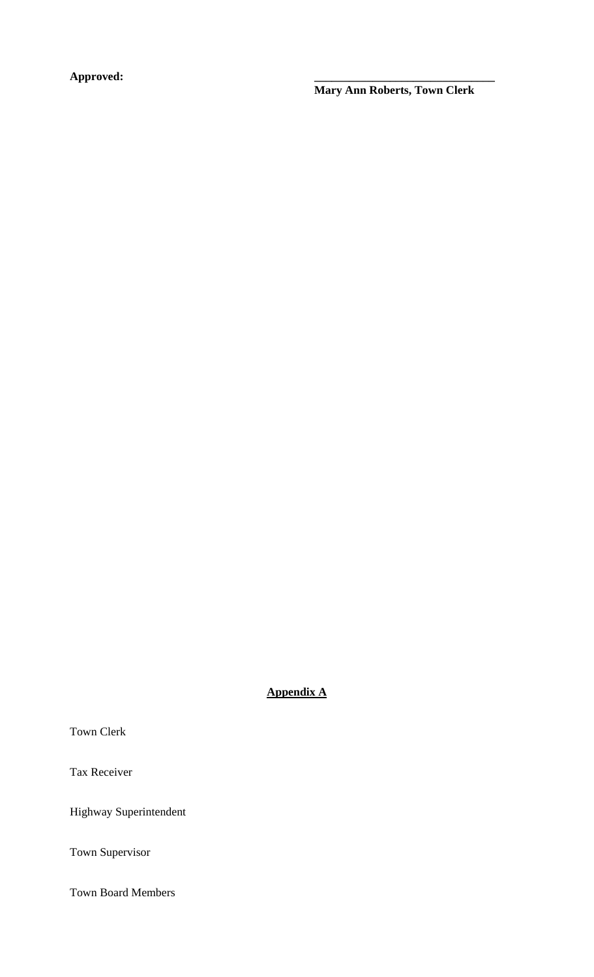**Approved: \_\_\_\_\_\_\_\_\_\_\_\_\_\_\_\_\_\_\_\_\_\_\_\_\_\_\_\_\_\_\_** 

 **Mary Ann Roberts, Town Clerk** 

**Appendix A**

Town Clerk

Tax Receiver

Highway Superintendent

Town Supervisor

Town Board Members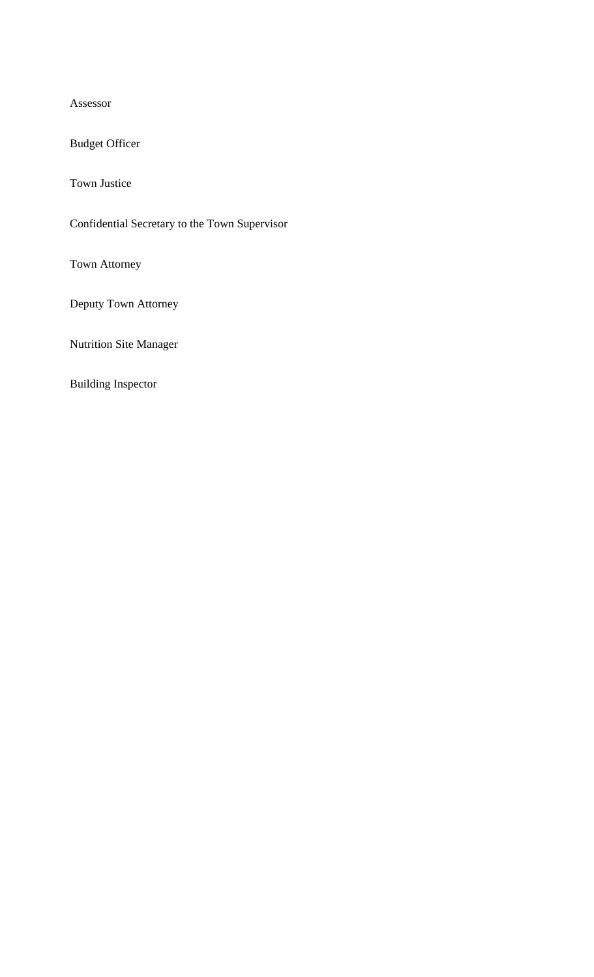Assessor

Budget Officer

Town Justice

Confidential Secretary to the Town Supervisor

Town Attorney

Deputy Town Attorney

Nutrition Site Manager

Building Inspector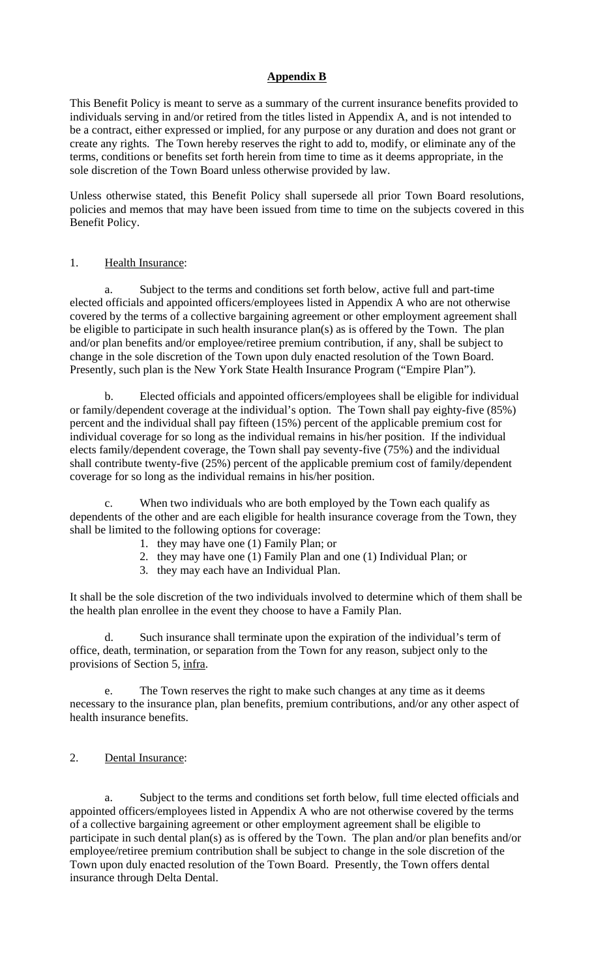## **Appendix B**

This Benefit Policy is meant to serve as a summary of the current insurance benefits provided to individuals serving in and/or retired from the titles listed in Appendix A, and is not intended to be a contract, either expressed or implied, for any purpose or any duration and does not grant or create any rights. The Town hereby reserves the right to add to, modify, or eliminate any of the terms, conditions or benefits set forth herein from time to time as it deems appropriate, in the sole discretion of the Town Board unless otherwise provided by law.

Unless otherwise stated, this Benefit Policy shall supersede all prior Town Board resolutions, policies and memos that may have been issued from time to time on the subjects covered in this Benefit Policy.

## 1. Health Insurance:

 a. Subject to the terms and conditions set forth below, active full and part-time elected officials and appointed officers/employees listed in Appendix A who are not otherwise covered by the terms of a collective bargaining agreement or other employment agreement shall be eligible to participate in such health insurance plan(s) as is offered by the Town. The plan and/or plan benefits and/or employee/retiree premium contribution, if any, shall be subject to change in the sole discretion of the Town upon duly enacted resolution of the Town Board. Presently, such plan is the New York State Health Insurance Program ("Empire Plan").

 b. Elected officials and appointed officers/employees shall be eligible for individual or family/dependent coverage at the individual's option. The Town shall pay eighty-five (85%) percent and the individual shall pay fifteen (15%) percent of the applicable premium cost for individual coverage for so long as the individual remains in his/her position. If the individual elects family/dependent coverage, the Town shall pay seventy-five (75%) and the individual shall contribute twenty-five (25%) percent of the applicable premium cost of family/dependent coverage for so long as the individual remains in his/her position.

c. When two individuals who are both employed by the Town each qualify as dependents of the other and are each eligible for health insurance coverage from the Town, they shall be limited to the following options for coverage:

- 1. they may have one (1) Family Plan; or
- 2. they may have one (1) Family Plan and one (1) Individual Plan; or
- 3. they may each have an Individual Plan.

It shall be the sole discretion of the two individuals involved to determine which of them shall be the health plan enrollee in the event they choose to have a Family Plan.

 d. Such insurance shall terminate upon the expiration of the individual's term of office, death, termination, or separation from the Town for any reason, subject only to the provisions of Section 5, infra.

The Town reserves the right to make such changes at any time as it deems necessary to the insurance plan, plan benefits, premium contributions, and/or any other aspect of health insurance benefits.

#### 2. Dental Insurance:

 a. Subject to the terms and conditions set forth below, full time elected officials and appointed officers/employees listed in Appendix A who are not otherwise covered by the terms of a collective bargaining agreement or other employment agreement shall be eligible to participate in such dental plan(s) as is offered by the Town. The plan and/or plan benefits and/or employee/retiree premium contribution shall be subject to change in the sole discretion of the Town upon duly enacted resolution of the Town Board. Presently, the Town offers dental insurance through Delta Dental.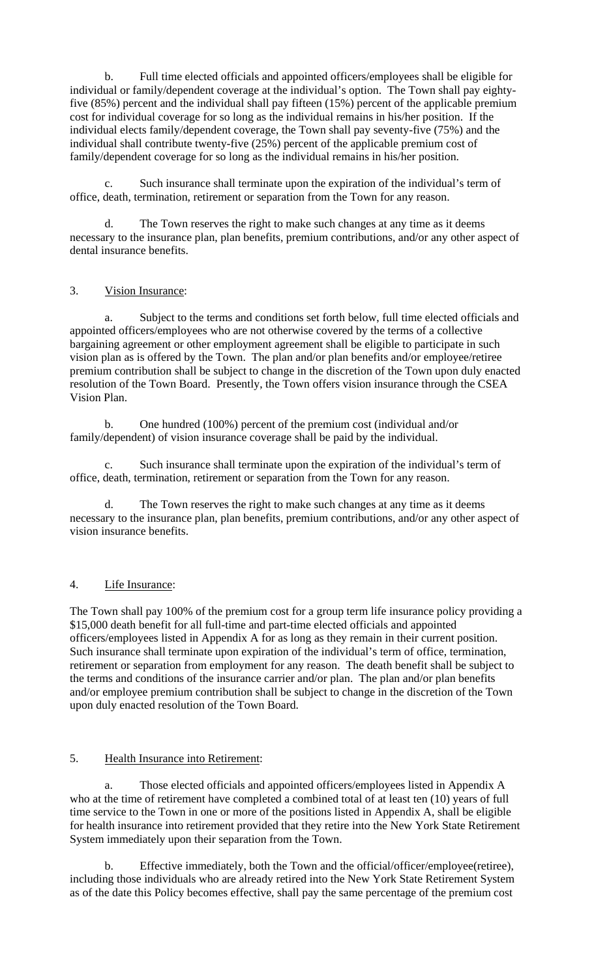b. Full time elected officials and appointed officers/employees shall be eligible for individual or family/dependent coverage at the individual's option. The Town shall pay eightyfive (85%) percent and the individual shall pay fifteen (15%) percent of the applicable premium cost for individual coverage for so long as the individual remains in his/her position. If the individual elects family/dependent coverage, the Town shall pay seventy-five (75%) and the individual shall contribute twenty-five (25%) percent of the applicable premium cost of family/dependent coverage for so long as the individual remains in his/her position.

 c. Such insurance shall terminate upon the expiration of the individual's term of office, death, termination, retirement or separation from the Town for any reason.

d. The Town reserves the right to make such changes at any time as it deems necessary to the insurance plan, plan benefits, premium contributions, and/or any other aspect of dental insurance benefits.

# 3. Vision Insurance:

a. Subject to the terms and conditions set forth below, full time elected officials and appointed officers/employees who are not otherwise covered by the terms of a collective bargaining agreement or other employment agreement shall be eligible to participate in such vision plan as is offered by the Town. The plan and/or plan benefits and/or employee/retiree premium contribution shall be subject to change in the discretion of the Town upon duly enacted resolution of the Town Board. Presently, the Town offers vision insurance through the CSEA Vision Plan.

b. One hundred (100%) percent of the premium cost (individual and/or family/dependent) of vision insurance coverage shall be paid by the individual.

 c. Such insurance shall terminate upon the expiration of the individual's term of office, death, termination, retirement or separation from the Town for any reason.

 d. The Town reserves the right to make such changes at any time as it deems necessary to the insurance plan, plan benefits, premium contributions, and/or any other aspect of vision insurance benefits.

## 4. Life Insurance:

The Town shall pay 100% of the premium cost for a group term life insurance policy providing a \$15,000 death benefit for all full-time and part-time elected officials and appointed officers/employees listed in Appendix A for as long as they remain in their current position. Such insurance shall terminate upon expiration of the individual's term of office, termination, retirement or separation from employment for any reason. The death benefit shall be subject to the terms and conditions of the insurance carrier and/or plan. The plan and/or plan benefits and/or employee premium contribution shall be subject to change in the discretion of the Town upon duly enacted resolution of the Town Board.

## 5. Health Insurance into Retirement:

 a. Those elected officials and appointed officers/employees listed in Appendix A who at the time of retirement have completed a combined total of at least ten (10) years of full time service to the Town in one or more of the positions listed in Appendix A, shall be eligible for health insurance into retirement provided that they retire into the New York State Retirement System immediately upon their separation from the Town.

b. Effective immediately, both the Town and the official/officer/employee(retiree), including those individuals who are already retired into the New York State Retirement System as of the date this Policy becomes effective, shall pay the same percentage of the premium cost